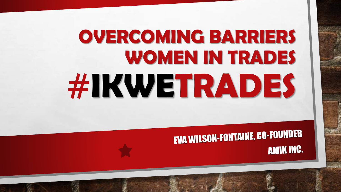# OVERCOMING BARRIERS WOMEN IN TRADES **#IKWETRADES**

**EVA WILSON-FONTAINE, CO-FOUNDER AMIK INC.**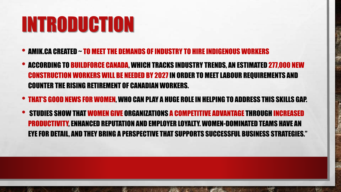## INTRODUCTION

- AMIK.CA CREATED ~ TO MEET THE DEMANDS OF INDUSTRY TO HIRE INDIGENOUS WORKERS
- ACCORDING TO BUILDFORCE CANADA, WHICH TRACKS INDUSTRY TRENDS, AN ESTIMATED 277,000 NEW CONSTRUCTION WORKERS WILL BE NEEDED BY 2027 IN ORDER TO MEET LABOUR REQUIREMENTS AND COUNTER THE RISING RETIREMENT OF CANADIAN WORKERS.
- THAT'S GOOD NEWS FOR WOMEN, WHO CAN PLAY A HUGE ROLE IN HELPING TO ADDRESS THIS SKILLS GAP.
- STUDIES SHOW THAT WOMEN GIVE ORGANIZATIONS A COMPETITIVE ADVANTAGE THROUGH INCREASED PRODUCTIVITY, ENHANCED REPUTATION AND EMPLOYER LOYALTY. WOMEN-DOMINATED TEAMS HAVE AN EYE FOR DETAIL, AND THEY BRING A PERSPECTIVE THAT SUPPORTS SUCCESSFUL BUSINESS STRATEGIES."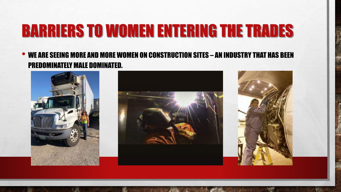### BARRIERS TO WOMEN ENTERING THE TRADES

• WE ARE SEEING MORE AND MORE WOMEN ON CONSTRUCTION SITES – AN INDUSTRY THAT HAS BEEN PREDOMINATELY MALE DOMINATED.



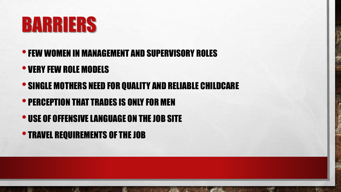

- •FEW WOMEN IN MANAGEMENT AND SUPERVISORY ROLES
- VERY FEW ROLE MODELS
- SINGLE MOTHERS NEED FOR QUALITY AND RELIABLE CHILDCARE
- PERCEPTION THAT TRADES IS ONLY FOR MEN
- USE OF OFFENSIVE LANGUAGE ON THE JOB SITE
- TRAVEL REQUIREMENTS OF THE JOB

心底

 $\mathcal{L}$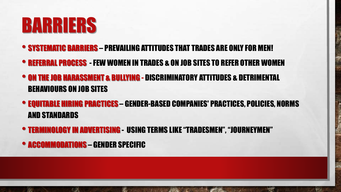## BARRIERS

- SYSTEMATIC BARRIERS PREVAILING ATTITUDES THAT TRADES ARE ONLY FOR MEN!
- REFERRAL PROCESS -FEW WOMEN IN TRADES & ON JOB SITES TO REFER OTHER WOMEN
- ON THE JOB HARASSMENT & BULLYING DISCRIMINATORY ATTITUDES & DETRIMENTAL BEHAVIOURS ON JOB SITES
- EQUITABLE HIRING PRACTICES GENDER-BASED COMPANIES' PRACTICES, POLICIES, NORMS AND STANDARDS
- TERMINOLOGY IN ADVERTISING USING TERMS LIKE "TRADESMEN", "JOURNEYMEN"
- ACCOMMODATIONS GENDER SPECIFIC

心底

-91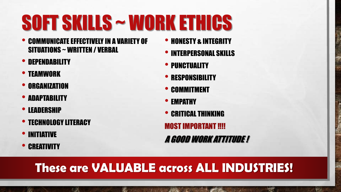# SOFT SKILLS ~ WORK ETHICS

- COMMUNICATE EFFECTIVELY IN A VARIETY OF SITUATIONS ~ WRITTEN / VERBAL
- DEPENDABILITY
- TEAMWORK
- **ORGANIZATION**
- ADAPTABILITY
- LEADERSHIP
- TECHNOLOGY LITERACY

心底

- **INITIATIVE**
- **CREATIVITY**

196

- HONESTY & INTEGRITY
- INTERPERSONAL SKILLS
- PUNCTUALITY
- RESPONSIBILITY
- **COMMITMENT**
- EMPATHY
- CRITICAL THINKING
- MOST IMPORTANT !!!!
- A GOOD WORK ATTITUDE !

**Wind** 

#### These are VALUABLE across ALL INDUSTRIES!